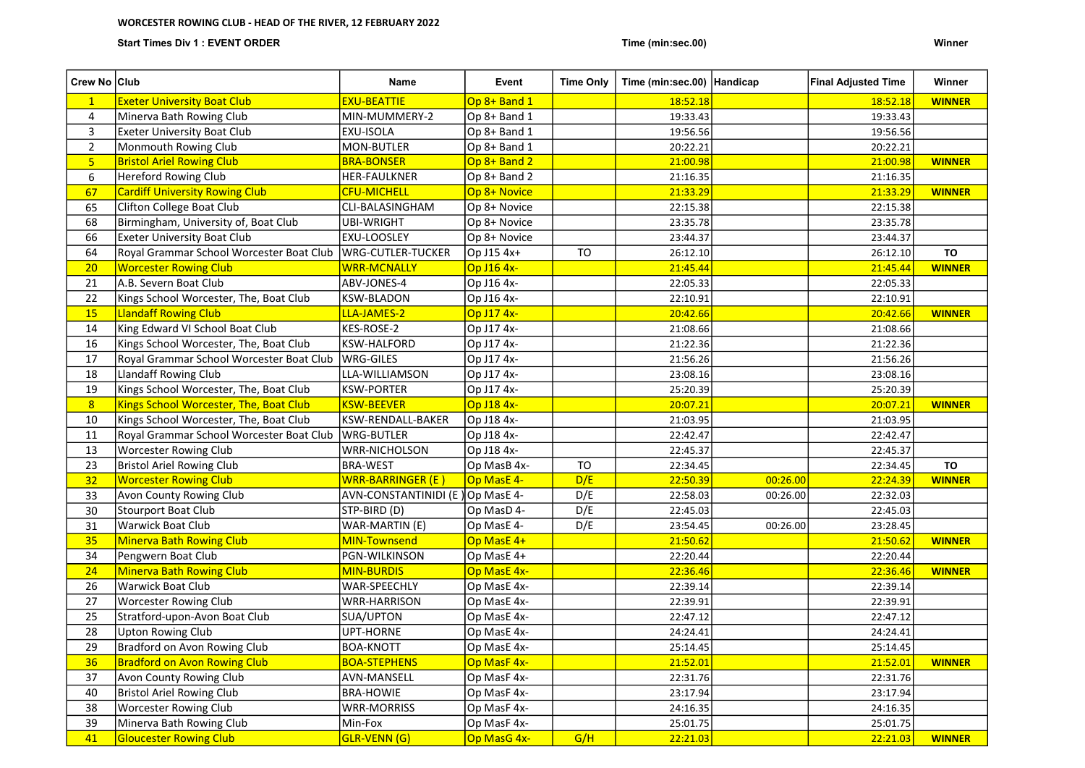## WORCESTER ROWING CLUB - HEAD OF THE RIVER, 12 FEBRUARY 2022

Start Times Div 1 : EVENT ORDER Winner (Minited States of Time (minitation) and Time (minitation) winner and the United States of Time (minitation) winner (minitation) winner and the United States of Time (minitation) winn

| Crew No Club   |                                          | Name                             | Event        | <b>Time Only</b> | Time (min:sec.00)   Handicap |          | <b>Final Adjusted Time</b> | Winner        |
|----------------|------------------------------------------|----------------------------------|--------------|------------------|------------------------------|----------|----------------------------|---------------|
| $\mathbf{1}$   | <b>Exeter University Boat Club</b>       | <b>EXU-BEATTIE</b>               | Op 8+ Band 1 |                  | 18:52.18                     |          | 18:52.18                   | <b>WINNER</b> |
| 4              | Minerva Bath Rowing Club                 | MIN-MUMMERY-2                    | Op 8+ Band 1 |                  | 19:33.43                     |          | 19:33.43                   |               |
| 3              | <b>Exeter University Boat Club</b>       | EXU-ISOLA                        | Op 8+ Band 1 |                  | 19:56.56                     |          | 19:56.56                   |               |
| $\overline{2}$ | Monmouth Rowing Club                     | MON-BUTLER                       | Op 8+ Band 1 |                  | 20:22.21                     |          | 20:22.21                   |               |
| 5 <sub>1</sub> | <b>Bristol Ariel Rowing Club</b>         | <b>BRA-BONSER</b>                | Op 8+ Band 2 |                  | 21:00.98                     |          | 21:00.98                   | <b>WINNER</b> |
| 6              | <b>Hereford Rowing Club</b>              | <b>HER-FAULKNER</b>              | Op 8+ Band 2 |                  | 21:16.35                     |          | 21:16.35                   |               |
| 67             | <b>Cardiff University Rowing Club</b>    | <b>CFU-MICHELL</b>               | Op 8+ Novice |                  | 21:33.29                     |          | 21:33.29                   | <b>WINNER</b> |
| 65             | Clifton College Boat Club                | CLI-BALASINGHAM                  | Op 8+ Novice |                  | 22:15.38                     |          | 22:15.38                   |               |
| 68             | Birmingham, University of, Boat Club     | <b>UBI-WRIGHT</b>                | Op 8+ Novice |                  | 23:35.78                     |          | 23:35.78                   |               |
| 66             | <b>Exeter University Boat Club</b>       | <b>EXU-LOOSLEY</b>               | Op 8+ Novice |                  | 23:44.37                     |          | 23:44.37                   |               |
| 64             | Royal Grammar School Worcester Boat Club | WRG-CUTLER-TUCKER                | Op J15 4x+   | <b>TO</b>        | 26:12.10                     |          | 26:12.10                   | <b>TO</b>     |
| 20             | <b>Worcester Rowing Club</b>             | <b>WRR-MCNALLY</b>               | Op J16 4x-   |                  | 21:45.44                     |          | 21:45.44                   | <b>WINNER</b> |
| 21             | A.B. Severn Boat Club                    | ABV-JONES-4                      | Op J16 4x-   |                  | 22:05.33                     |          | 22:05.33                   |               |
| 22             | Kings School Worcester, The, Boat Club   | <b>KSW-BLADON</b>                | Op J16 4x-   |                  | 22:10.91                     |          | 22:10.91                   |               |
| <b>15</b>      | <b>Llandaff Rowing Club</b>              | LLA-JAMES-2                      | Op J17 4x-   |                  | 20:42.66                     |          | 20:42.66                   | <b>WINNER</b> |
| 14             | King Edward VI School Boat Club          | KES-ROSE-2                       | Op J17 4x-   |                  | 21:08.66                     |          | 21:08.66                   |               |
| 16             | Kings School Worcester, The, Boat Club   | <b>KSW-HALFORD</b>               | Op J17 4x-   |                  | 21:22.36                     |          | 21:22.36                   |               |
| 17             | Royal Grammar School Worcester Boat Club | WRG-GILES                        | Op J17 4x-   |                  | 21:56.26                     |          | 21:56.26                   |               |
| 18             | Llandaff Rowing Club                     | LLA-WILLIAMSON                   | Op J17 4x-   |                  | 23:08.16                     |          | 23:08.16                   |               |
| 19             | Kings School Worcester, The, Boat Club   | <b>KSW-PORTER</b>                | Op J17 4x-   |                  | 25:20.39                     |          | 25:20.39                   |               |
| $\overline{8}$ | Kings School Worcester, The, Boat Club   | <b>KSW-BEEVER</b>                | Op J18 4x-   |                  | 20:07.21                     |          | 20:07.21                   | <b>WINNER</b> |
| 10             | Kings School Worcester, The, Boat Club   | KSW-RENDALL-BAKER                | Op J18 4x-   |                  | 21:03.95                     |          | 21:03.95                   |               |
| 11             | Royal Grammar School Worcester Boat Club | WRG-BUTLER                       | Op J18 4x-   |                  | 22:42.47                     |          | 22:42.47                   |               |
| 13             | <b>Worcester Rowing Club</b>             | <b>WRR-NICHOLSON</b>             | Op J18 4x-   |                  | 22:45.37                     |          | 22:45.37                   |               |
| 23             | <b>Bristol Ariel Rowing Club</b>         | <b>BRA-WEST</b>                  | Op MasB 4x-  | <b>TO</b>        | 22:34.45                     |          | 22:34.45                   | <b>TO</b>     |
| 32             | <b>Worcester Rowing Club</b>             | <b>WRR-BARRINGER (E)</b>         | Op MasE 4-   | D/E              | 22:50.39                     | 00:26.00 | 22:24.39                   | <b>WINNER</b> |
| 33             | Avon County Rowing Club                  | AVN-CONSTANTINIDI (E) Op MasE 4- |              | D/E              | 22:58.03                     | 00:26.00 | 22:32.03                   |               |
| 30             | Stourport Boat Club                      | STP-BIRD (D)                     | Op MasD 4-   | D/E              | 22:45.03                     |          | 22:45.03                   |               |
| 31             | Warwick Boat Club                        | WAR-MARTIN (E)                   | Op MasE 4-   | D/E              | 23:54.45                     | 00:26.00 | 23:28.45                   |               |
| 35             | <b>Minerva Bath Rowing Club</b>          | MIN-Townsend                     | Op MasE 4+   |                  | 21:50.62                     |          | 21:50.62                   | <b>WINNER</b> |
| 34             | Pengwern Boat Club                       | <b>PGN-WILKINSON</b>             | Op MasE 4+   |                  | 22:20.44                     |          | 22:20.44                   |               |
| 24             | <b>Minerva Bath Rowing Club</b>          | <b>MIN-BURDIS</b>                | Op MasE 4x-  |                  | 22:36.46                     |          | 22:36.46                   | <b>WINNER</b> |
| 26             | <b>Warwick Boat Club</b>                 | WAR-SPEECHLY                     | Op MasE 4x-  |                  | 22:39.14                     |          | 22:39.14                   |               |
| 27             | <b>Worcester Rowing Club</b>             | <b>WRR-HARRISON</b>              | Op MasE 4x-  |                  | 22:39.91                     |          | 22:39.91                   |               |
| 25             | Stratford-upon-Avon Boat Club            | SUA/UPTON                        | Op MasE 4x-  |                  | 22:47.12                     |          | 22:47.12                   |               |
| 28             | <b>Upton Rowing Club</b>                 | UPT-HORNE                        | Op MasE 4x-  |                  | 24:24.41                     |          | 24:24.41                   |               |
| 29             | Bradford on Avon Rowing Club             | <b>BOA-KNOTT</b>                 | Op MasE 4x-  |                  | 25:14.45                     |          | 25:14.45                   |               |
| 36             | <b>Bradford on Avon Rowing Club</b>      | <b>BOA-STEPHENS</b>              | Op MasF 4x-  |                  | 21:52.01                     |          | 21:52.01                   | <b>WINNER</b> |
| 37             | Avon County Rowing Club                  | AVN-MANSELL                      | Op MasF 4x-  |                  | 22:31.76                     |          | 22:31.76                   |               |
| 40             | <b>Bristol Ariel Rowing Club</b>         | <b>BRA-HOWIE</b>                 | Op MasF 4x-  |                  | 23:17.94                     |          | 23:17.94                   |               |
| 38             | <b>Worcester Rowing Club</b>             | <b>WRR-MORRISS</b>               | Op MasF 4x-  |                  | 24:16.35                     |          | 24:16.35                   |               |
| 39             | Minerva Bath Rowing Club                 | Min-Fox                          | Op MasF 4x-  |                  | 25:01.75                     |          | 25:01.75                   |               |
| 41             | <b>Gloucester Rowing Club</b>            | GLR-VENN (G)                     | Op MasG 4x-  | G/H              | 22:21.03                     |          | 22:21.03                   | <b>WINNER</b> |